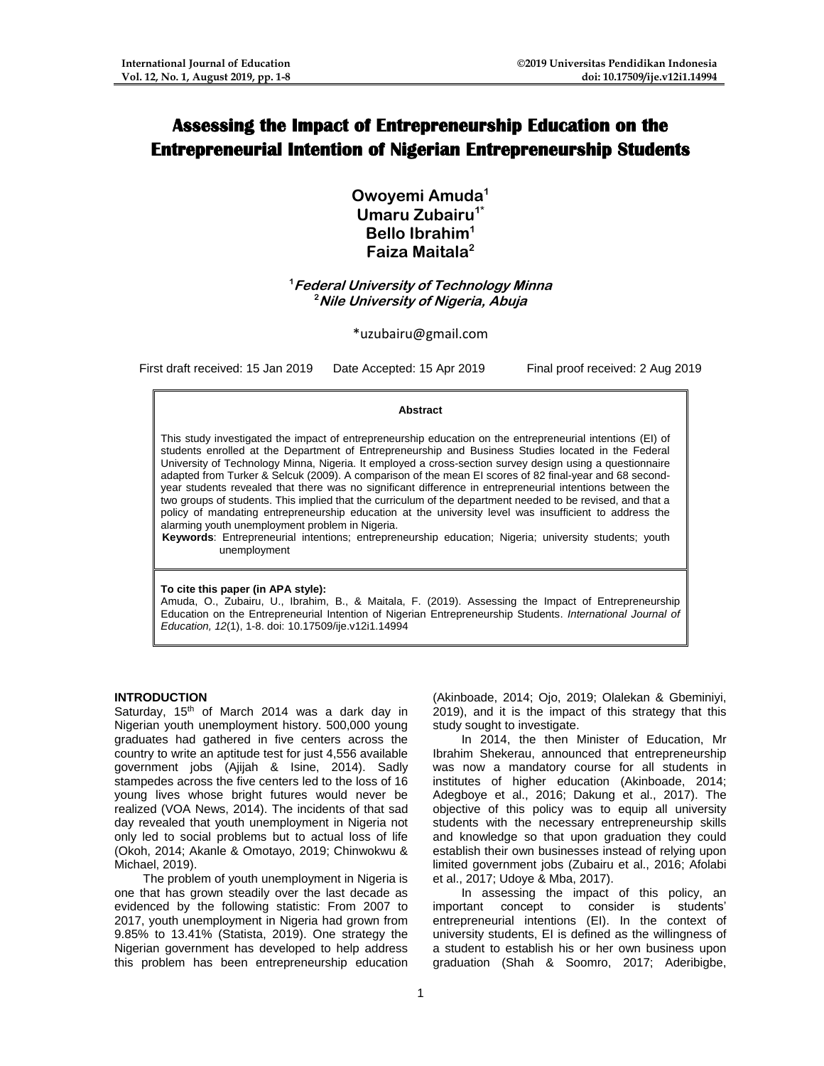# **Assessing the Impact of Entrepreneurship Education on the Entrepreneurial Intention of Nigerian Entrepreneurship Students**

**Owoyemi Amuda<sup>1</sup> Umaru Zubairu1\* Bello Ibrahim<sup>1</sup> Faiza Maitala<sup>2</sup>**

**<sup>1</sup>Federal University of Technology Minna <sup>2</sup>Nile University of Nigeria, Abuja**

\*uzubairu@gmail.com

First draft received: 15 Jan 2019 Date Accepted: 15 Apr 2019 Final proof received: 2 Aug 2019

#### **Abstract**

This study investigated the impact of entrepreneurship education on the entrepreneurial intentions (EI) of students enrolled at the Department of Entrepreneurship and Business Studies located in the Federal University of Technology Minna, Nigeria. It employed a cross-section survey design using a questionnaire adapted from Turker & Selcuk (2009). A comparison of the mean EI scores of 82 final-year and 68 secondyear students revealed that there was no significant difference in entrepreneurial intentions between the two groups of students. This implied that the curriculum of the department needed to be revised, and that a policy of mandating entrepreneurship education at the university level was insufficient to address the alarming youth unemployment problem in Nigeria.

**Keywords**: Entrepreneurial intentions; entrepreneurship education; Nigeria; university students; youth unemployment

#### **To cite this paper (in APA style):**

Amuda, O., Zubairu, U., Ibrahim, B., & Maitala, F. (2019). Assessing the Impact of Entrepreneurship Education on the Entrepreneurial Intention of Nigerian Entrepreneurship Students. *International Journal of Education, 12*(1), 1-8. doi: 10.17509/ije.v12i1.14994

#### **INTRODUCTION**

Saturday,  $15<sup>th</sup>$  of March 2014 was a dark day in Nigerian youth unemployment history. 500,000 young graduates had gathered in five centers across the country to write an aptitude test for just 4,556 available government jobs (Ajijah & Isine, 2014). Sadly stampedes across the five centers led to the loss of 16 young lives whose bright futures would never be realized (VOA News, 2014). The incidents of that sad day revealed that youth unemployment in Nigeria not only led to social problems but to actual loss of life (Okoh, 2014; Akanle & Omotayo, 2019; Chinwokwu & Michael, 2019).

The problem of youth unemployment in Nigeria is one that has grown steadily over the last decade as evidenced by the following statistic: From 2007 to 2017, youth unemployment in Nigeria had grown from 9.85% to 13.41% (Statista, 2019). One strategy the Nigerian government has developed to help address this problem has been entrepreneurship education

(Akinboade, 2014; Ojo, 2019; Olalekan & Gbeminiyi, 2019), and it is the impact of this strategy that this study sought to investigate.

In 2014, the then Minister of Education, Mr Ibrahim Shekerau, announced that entrepreneurship was now a mandatory course for all students in institutes of higher education (Akinboade, 2014; Adegboye et al., 2016; Dakung et al., 2017). The objective of this policy was to equip all university students with the necessary entrepreneurship skills and knowledge so that upon graduation they could establish their own businesses instead of relying upon limited government jobs (Zubairu et al., 2016; Afolabi et al., 2017; Udoye & Mba, 2017).

In assessing the impact of this policy, an important concept to consider is students' entrepreneurial intentions (EI). In the context of university students, EI is defined as the willingness of a student to establish his or her own business upon graduation (Shah & Soomro, 2017; Aderibigbe,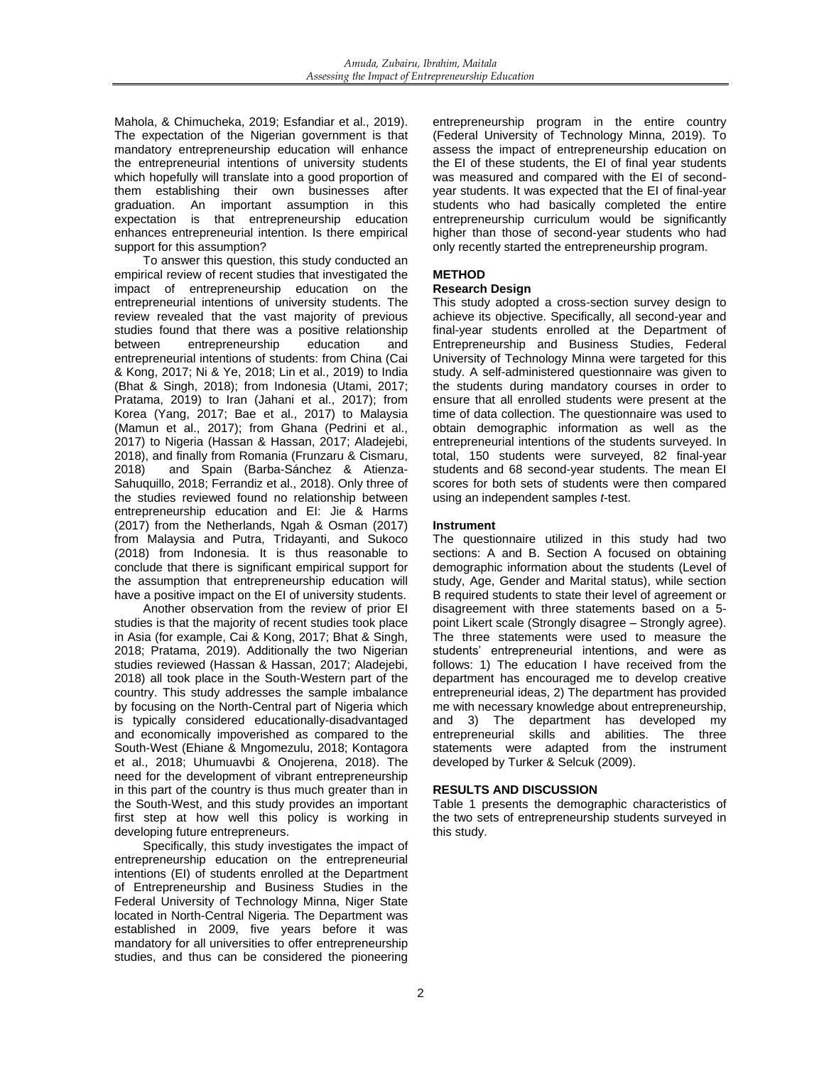Mahola, & Chimucheka, 2019; Esfandiar et al., 2019). The expectation of the Nigerian government is that mandatory entrepreneurship education will enhance the entrepreneurial intentions of university students which hopefully will translate into a good proportion of them establishing their own businesses after graduation. An important assumption in this expectation is that entrepreneurship education enhances entrepreneurial intention. Is there empirical support for this assumption?

To answer this question, this study conducted an empirical review of recent studies that investigated the impact of entrepreneurship education on the entrepreneurial intentions of university students. The review revealed that the vast majority of previous studies found that there was a positive relationship between entrepreneurship education and entrepreneurial intentions of students: from China (Cai & Kong, 2017; Ni & Ye, 2018; Lin et al., 2019) to India (Bhat & Singh, 2018); from Indonesia (Utami, 2017; Pratama, 2019) to Iran (Jahani et al., 2017); from Korea (Yang, 2017; Bae et al., 2017) to Malaysia (Mamun et al., 2017); from Ghana (Pedrini et al., 2017) to Nigeria (Hassan & Hassan, 2017; Aladejebi, 2018), and finally from Romania (Frunzaru & Cismaru, and Spain (Barba-Sánchez & Atienza-Sahuquillo, 2018; Ferrandiz et al., 2018). Only three of the studies reviewed found no relationship between entrepreneurship education and EI: Jie & Harms (2017) from the Netherlands, Ngah & Osman (2017) from Malaysia and Putra, Tridayanti, and Sukoco (2018) from Indonesia. It is thus reasonable to conclude that there is significant empirical support for the assumption that entrepreneurship education will have a positive impact on the EI of university students.

Another observation from the review of prior EI studies is that the majority of recent studies took place in Asia (for example, Cai & Kong, 2017; Bhat & Singh, 2018; Pratama, 2019). Additionally the two Nigerian studies reviewed (Hassan & Hassan, 2017; Aladejebi, 2018) all took place in the South-Western part of the country. This study addresses the sample imbalance by focusing on the North-Central part of Nigeria which is typically considered educationally-disadvantaged and economically impoverished as compared to the South-West (Ehiane & Mngomezulu, 2018; Kontagora et al., 2018; Uhumuavbi & Onojerena, 2018). The need for the development of vibrant entrepreneurship in this part of the country is thus much greater than in the South-West, and this study provides an important first step at how well this policy is working in developing future entrepreneurs.

Specifically, this study investigates the impact of entrepreneurship education on the entrepreneurial intentions (EI) of students enrolled at the Department of Entrepreneurship and Business Studies in the Federal University of Technology Minna, Niger State located in North-Central Nigeria. The Department was established in 2009, five years before it was mandatory for all universities to offer entrepreneurship studies, and thus can be considered the pioneering

entrepreneurship program in the entire country (Federal University of Technology Minna, 2019). To assess the impact of entrepreneurship education on the EI of these students, the EI of final year students was measured and compared with the EI of secondyear students. It was expected that the EI of final-year students who had basically completed the entire entrepreneurship curriculum would be significantly higher than those of second-year students who had only recently started the entrepreneurship program.

## **METHOD**

## **Research Design**

This study adopted a cross-section survey design to achieve its objective. Specifically, all second-year and final-year students enrolled at the Department of Entrepreneurship and Business Studies, Federal University of Technology Minna were targeted for this study. A self-administered questionnaire was given to the students during mandatory courses in order to ensure that all enrolled students were present at the time of data collection. The questionnaire was used to obtain demographic information as well as the entrepreneurial intentions of the students surveyed. In total, 150 students were surveyed, 82 final-year students and 68 second-year students. The mean EI scores for both sets of students were then compared using an independent samples *t*-test.

#### **Instrument**

The questionnaire utilized in this study had two sections: A and B. Section A focused on obtaining demographic information about the students (Level of study, Age, Gender and Marital status), while section B required students to state their level of agreement or disagreement with three statements based on a 5 point Likert scale (Strongly disagree – Strongly agree). The three statements were used to measure the students' entrepreneurial intentions, and were as follows: 1) The education I have received from the department has encouraged me to develop creative entrepreneurial ideas, 2) The department has provided me with necessary knowledge about entrepreneurship, and 3) The department has developed my entrepreneurial skills and abilities. The three statements were adapted from the instrument developed by Turker & Selcuk (2009).

#### **RESULTS AND DISCUSSION**

Table 1 presents the demographic characteristics of the two sets of entrepreneurship students surveyed in this study.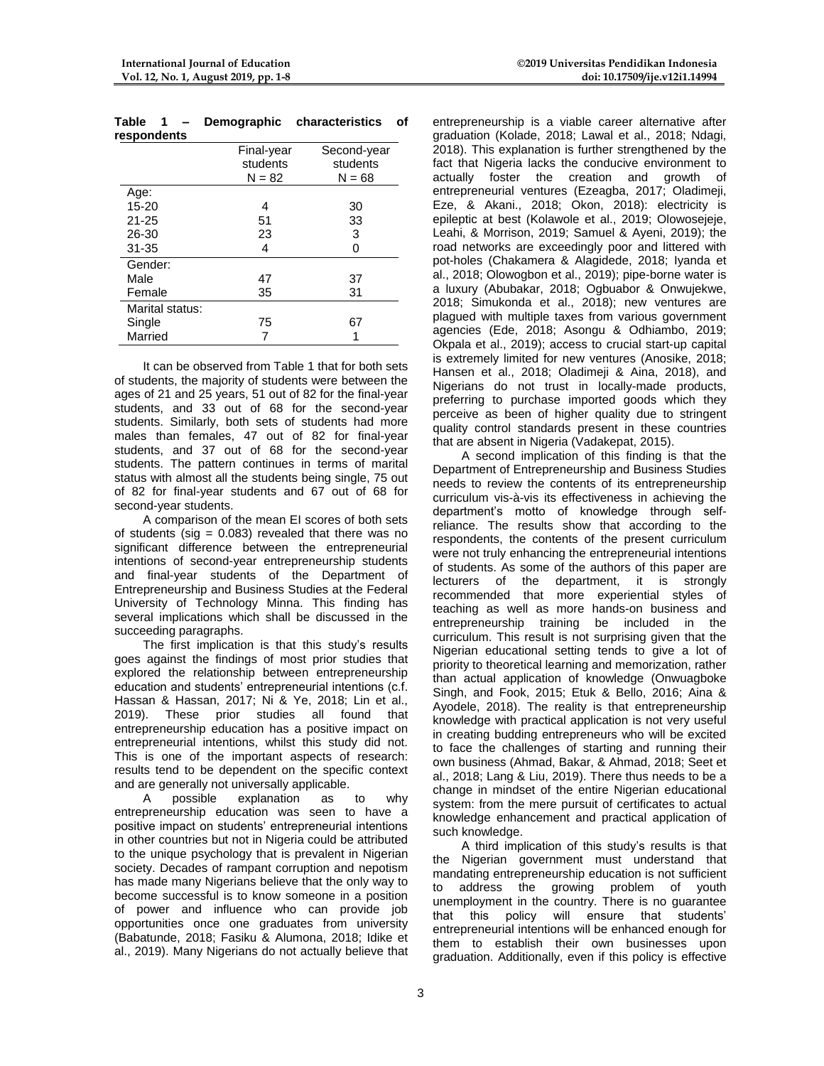| respondents     |            |             |
|-----------------|------------|-------------|
|                 | Final-year | Second-year |
|                 | students   | students    |
|                 | $N = 82$   | $N = 68$    |
| Age:            |            |             |
| $15 - 20$       | 4          | 30          |
| $21 - 25$       | 51         | 33          |
| 26-30           | 23         | 3           |
| $31 - 35$       | 4          | U           |
| Gender:         |            |             |
| Male            | 47         | 37          |
| Female          | 35         | 31          |
| Marital status: |            |             |
| Single          | 75         | 67          |
| Married         |            |             |

**Table 1 – Demographic characteristics of** 

It can be observed from Table 1 that for both sets of students, the majority of students were between the ages of 21 and 25 years, 51 out of 82 for the final-year students, and 33 out of 68 for the second-year students. Similarly, both sets of students had more males than females, 47 out of 82 for final-year students, and 37 out of 68 for the second-year students. The pattern continues in terms of marital status with almost all the students being single, 75 out of 82 for final-year students and 67 out of 68 for second-year students.

A comparison of the mean EI scores of both sets of students (sig =  $0.083$ ) revealed that there was no significant difference between the entrepreneurial intentions of second-year entrepreneurship students and final-year students of the Department of Entrepreneurship and Business Studies at the Federal University of Technology Minna. This finding has several implications which shall be discussed in the succeeding paragraphs.

The first implication is that this study's results goes against the findings of most prior studies that explored the relationship between entrepreneurship education and students' entrepreneurial intentions (c.f. Hassan & Hassan, 2017; Ni & Ye, 2018; Lin et al., 2019). These prior studies all found that entrepreneurship education has a positive impact on entrepreneurial intentions, whilst this study did not. This is one of the important aspects of research: results tend to be dependent on the specific context and are generally not universally applicable.

A possible explanation as to why entrepreneurship education was seen to have a positive impact on students' entrepreneurial intentions in other countries but not in Nigeria could be attributed to the unique psychology that is prevalent in Nigerian society. Decades of rampant corruption and nepotism has made many Nigerians believe that the only way to become successful is to know someone in a position of power and influence who can provide job opportunities once one graduates from university (Babatunde, 2018; Fasiku & Alumona, 2018; Idike et al., 2019). Many Nigerians do not actually believe that

entrepreneurship is a viable career alternative after graduation (Kolade, 2018; Lawal et al., 2018; Ndagi, 2018). This explanation is further strengthened by the fact that Nigeria lacks the conducive environment to actually foster the creation and growth of entrepreneurial ventures (Ezeagba, 2017; Oladimeji, Eze, & Akani., 2018; Okon, 2018): electricity is epileptic at best (Kolawole et al., 2019; Olowosejeje, Leahi, & Morrison, 2019; Samuel & Ayeni, 2019); the road networks are exceedingly poor and littered with pot-holes (Chakamera & Alagidede, 2018; Iyanda et al., 2018; Olowogbon et al., 2019); pipe-borne water is a luxury (Abubakar, 2018; Ogbuabor & Onwujekwe, 2018; Simukonda et al., 2018); new ventures are plagued with multiple taxes from various government agencies (Ede, 2018; Asongu & Odhiambo, 2019; Okpala et al., 2019); access to crucial start-up capital is extremely limited for new ventures (Anosike, 2018; Hansen et al., 2018; Oladimeji & Aina, 2018), and Nigerians do not trust in locally-made products, preferring to purchase imported goods which they perceive as been of higher quality due to stringent quality control standards present in these countries that are absent in Nigeria (Vadakepat, 2015).

A second implication of this finding is that the Department of Entrepreneurship and Business Studies needs to review the contents of its entrepreneurship curriculum vis-à-vis its effectiveness in achieving the department's motto of knowledge through selfreliance. The results show that according to the respondents, the contents of the present curriculum were not truly enhancing the entrepreneurial intentions of students. As some of the authors of this paper are lecturers of the department, it is strongly recommended that more experiential styles of teaching as well as more hands-on business and entrepreneurship training be included in the curriculum. This result is not surprising given that the Nigerian educational setting tends to give a lot of priority to theoretical learning and memorization, rather than actual application of knowledge (Onwuagboke Singh, and Fook, 2015; Etuk & Bello, 2016; Aina & Ayodele, 2018). The reality is that entrepreneurship knowledge with practical application is not very useful in creating budding entrepreneurs who will be excited to face the challenges of starting and running their own business (Ahmad, Bakar, & Ahmad, 2018; Seet et al., 2018; Lang & Liu, 2019). There thus needs to be a change in mindset of the entire Nigerian educational system: from the mere pursuit of certificates to actual knowledge enhancement and practical application of such knowledge.

A third implication of this study's results is that the Nigerian government must understand that mandating entrepreneurship education is not sufficient to address the growing problem of youth unemployment in the country. There is no guarantee that this policy will ensure that students' entrepreneurial intentions will be enhanced enough for them to establish their own businesses upon graduation. Additionally, even if this policy is effective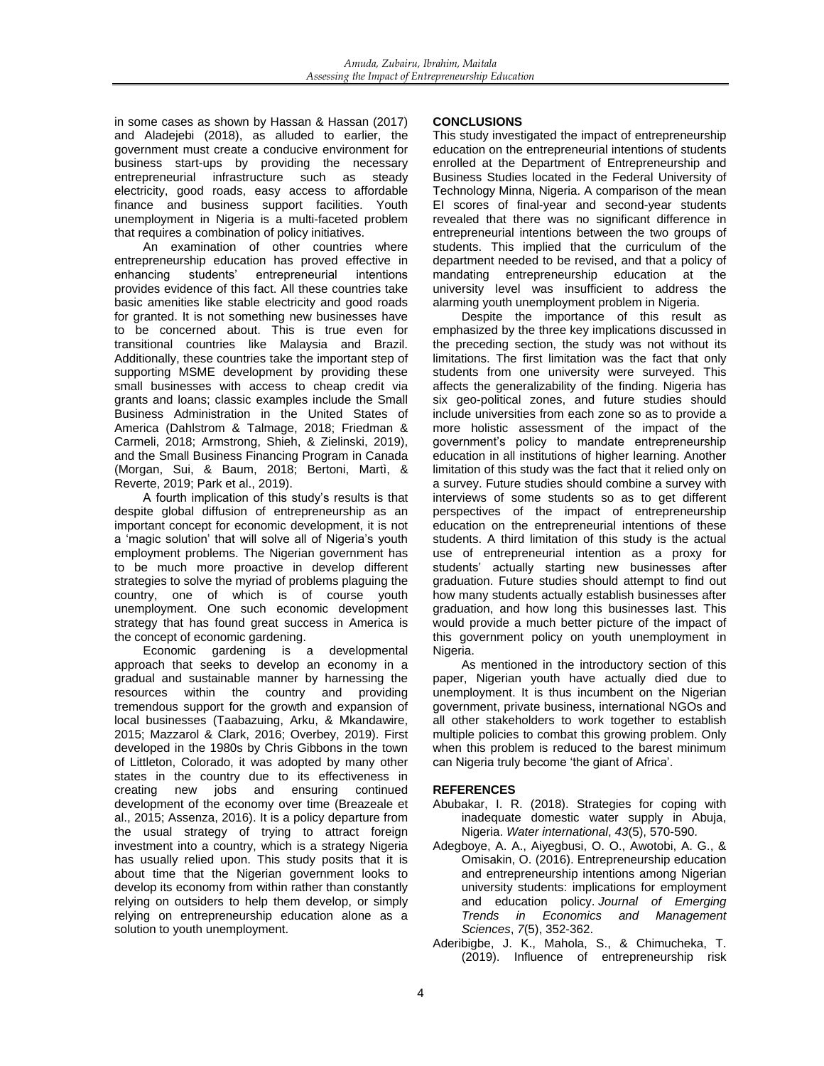in some cases as shown by Hassan & Hassan (2017) and Aladejebi (2018), as alluded to earlier, the government must create a conducive environment for business start-ups by providing the necessary entrepreneurial infrastructure such as steady electricity, good roads, easy access to affordable finance and business support facilities. Youth unemployment in Nigeria is a multi-faceted problem that requires a combination of policy initiatives.

An examination of other countries where entrepreneurship education has proved effective in enhancing students' entrepreneurial intentions enhancing students' entrepreneurial intentions provides evidence of this fact. All these countries take basic amenities like stable electricity and good roads for granted. It is not something new businesses have to be concerned about. This is true even for transitional countries like Malaysia and Brazil. Additionally, these countries take the important step of supporting MSME development by providing these small businesses with access to cheap credit via grants and loans; classic examples include the Small Business Administration in the United States of America (Dahlstrom & Talmage, 2018; Friedman & Carmeli, 2018; Armstrong, Shieh, & Zielinski, 2019), and the Small Business Financing Program in Canada (Morgan, Sui, & Baum, 2018; Bertoni, Martì, & Reverte, 2019; Park et al., 2019).

A fourth implication of this study's results is that despite global diffusion of entrepreneurship as an important concept for economic development, it is not a 'magic solution' that will solve all of Nigeria's youth employment problems. The Nigerian government has to be much more proactive in develop different strategies to solve the myriad of problems plaguing the country, one of which is of course youth unemployment. One such economic development strategy that has found great success in America is the concept of economic gardening.

Economic gardening is a developmental approach that seeks to develop an economy in a gradual and sustainable manner by harnessing the resources within the country and providing tremendous support for the growth and expansion of local businesses (Taabazuing, Arku, & Mkandawire, 2015; Mazzarol & Clark, 2016; Overbey, 2019). First developed in the 1980s by Chris Gibbons in the town of Littleton, Colorado, it was adopted by many other states in the country due to its effectiveness in creating new jobs and ensuring continued development of the economy over time (Breazeale et al., 2015; Assenza, 2016). It is a policy departure from the usual strategy of trying to attract foreign investment into a country, which is a strategy Nigeria has usually relied upon. This study posits that it is about time that the Nigerian government looks to develop its economy from within rather than constantly relying on outsiders to help them develop, or simply relying on entrepreneurship education alone as a solution to youth unemployment.

## **CONCLUSIONS**

This study investigated the impact of entrepreneurship education on the entrepreneurial intentions of students enrolled at the Department of Entrepreneurship and Business Studies located in the Federal University of Technology Minna, Nigeria. A comparison of the mean EI scores of final-year and second-year students revealed that there was no significant difference in entrepreneurial intentions between the two groups of students. This implied that the curriculum of the department needed to be revised, and that a policy of mandating entrepreneurship education at the university level was insufficient to address the alarming youth unemployment problem in Nigeria.

Despite the importance of this result as emphasized by the three key implications discussed in the preceding section, the study was not without its limitations. The first limitation was the fact that only students from one university were surveyed. This affects the generalizability of the finding. Nigeria has six geo-political zones, and future studies should include universities from each zone so as to provide a more holistic assessment of the impact of the government's policy to mandate entrepreneurship education in all institutions of higher learning. Another limitation of this study was the fact that it relied only on a survey. Future studies should combine a survey with interviews of some students so as to get different perspectives of the impact of entrepreneurship education on the entrepreneurial intentions of these students. A third limitation of this study is the actual use of entrepreneurial intention as a proxy for students' actually starting new businesses after graduation. Future studies should attempt to find out how many students actually establish businesses after graduation, and how long this businesses last. This would provide a much better picture of the impact of this government policy on youth unemployment in Nigeria.

As mentioned in the introductory section of this paper, Nigerian youth have actually died due to unemployment. It is thus incumbent on the Nigerian government, private business, international NGOs and all other stakeholders to work together to establish multiple policies to combat this growing problem. Only when this problem is reduced to the barest minimum can Nigeria truly become 'the giant of Africa'.

#### **REFERENCES**

- Abubakar, I. R. (2018). Strategies for coping with inadequate domestic water supply in Abuja, Nigeria. *Water international*, *43*(5), 570-590.
- Adegboye, A. A., Aiyegbusi, O. O., Awotobi, A. G., & Omisakin, O. (2016). Entrepreneurship education and entrepreneurship intentions among Nigerian university students: implications for employment and education policy. *Journal of Emerging Trends in Economics and Management Sciences*, *7*(5), 352-362.
- Aderibigbe, J. K., Mahola, S., & Chimucheka, T. (2019). Influence of entrepreneurship risk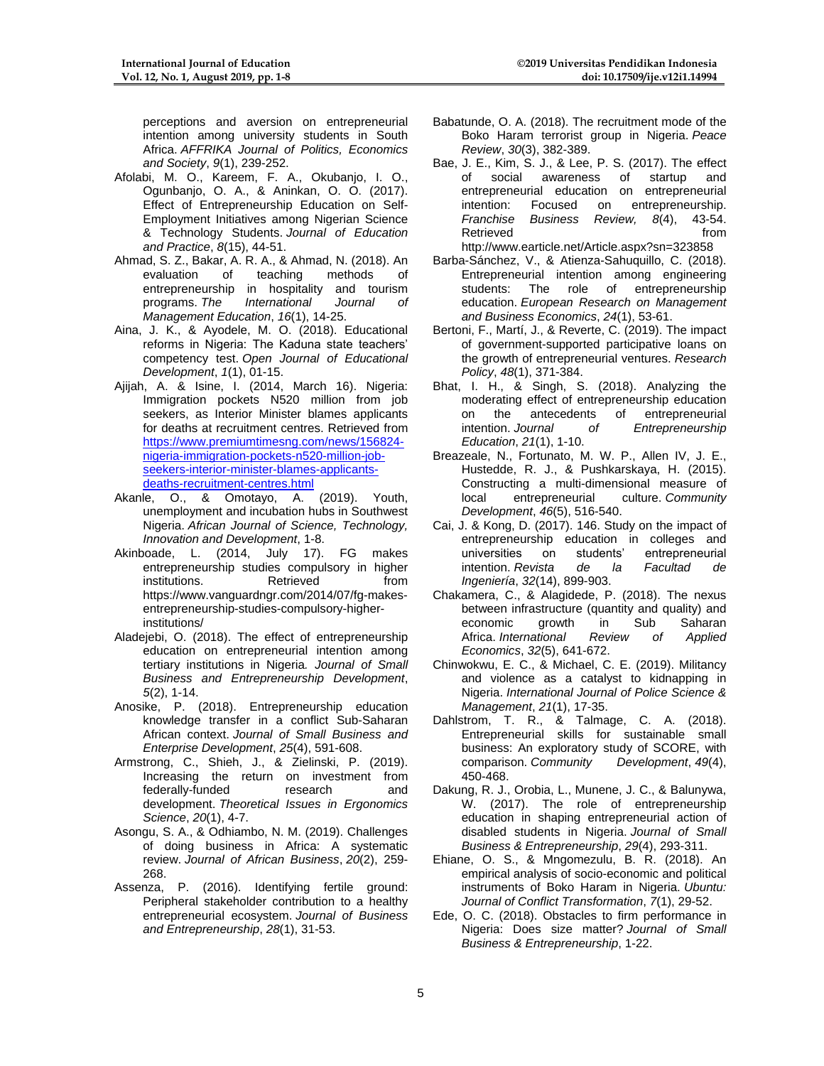perceptions and aversion on entrepreneurial intention among university students in South Africa. *AFFRIKA Journal of Politics, Economics and Society*, *9*(1), 239-252.

- Afolabi, M. O., Kareem, F. A., Okubanjo, I. O., Ogunbanjo, O. A., & Aninkan, O. O. (2017). Effect of Entrepreneurship Education on Self-Employment Initiatives among Nigerian Science & Technology Students. *Journal of Education and Practice*, *8*(15), 44-51.
- Ahmad, S. Z., Bakar, A. R. A., & Ahmad, N. (2018). An evaluation of teaching methods of entrepreneurship in hospitality and tourism programs. *The International Journal of Management Education*, *16*(1), 14-25.
- Aina, J. K., & Ayodele, M. O. (2018). Educational reforms in Nigeria: The Kaduna state teachers' competency test. *Open Journal of Educational Development*, *1*(1), 01-15.
- Ajijah, A. & Isine, I. (2014, March 16). Nigeria: Immigration pockets N520 million from job seekers, as Interior Minister blames applicants for deaths at recruitment centres. Retrieved from [https://www.premiumtimesng.com/news/156824](https://www.premiumtimesng.com/news/156824-nigeria-immigration-pockets-n520-million-job-seekers-interior-minister-blames-applicants-deaths-recruitment-centres.html) [nigeria-immigration-pockets-n520-million-job](https://www.premiumtimesng.com/news/156824-nigeria-immigration-pockets-n520-million-job-seekers-interior-minister-blames-applicants-deaths-recruitment-centres.html)[seekers-interior-minister-blames-applicants](https://www.premiumtimesng.com/news/156824-nigeria-immigration-pockets-n520-million-job-seekers-interior-minister-blames-applicants-deaths-recruitment-centres.html)[deaths-recruitment-centres.html](https://www.premiumtimesng.com/news/156824-nigeria-immigration-pockets-n520-million-job-seekers-interior-minister-blames-applicants-deaths-recruitment-centres.html)
- Akanle, O., & Omotayo, A. (2019). Youth, unemployment and incubation hubs in Southwest Nigeria. *African Journal of Science, Technology, Innovation and Development*, 1-8.
- Akinboade, L. (2014, July 17). FG makes entrepreneurship studies compulsory in higher institutions. Retrieved from https://www.vanguardngr.com/2014/07/fg-makesentrepreneurship-studies-compulsory-higherinstitutions/
- Aladejebi, O. (2018). The effect of entrepreneurship education on entrepreneurial intention among tertiary institutions in Nigeria*. Journal of Small Business and Entrepreneurship Development*, *5*(2), 1-14.
- Anosike, P. (2018). Entrepreneurship education knowledge transfer in a conflict Sub-Saharan African context. *Journal of Small Business and Enterprise Development*, *25*(4), 591-608.
- Armstrong, C., Shieh, J., & Zielinski, P. (2019). Increasing the return on investment from federally-funded research and development. *Theoretical Issues in Ergonomics Science*, *20*(1), 4-7.
- Asongu, S. A., & Odhiambo, N. M. (2019). Challenges of doing business in Africa: A systematic review. *Journal of African Business*, *20*(2), 259- 268.
- Assenza, P. (2016). Identifying fertile ground: Peripheral stakeholder contribution to a healthy entrepreneurial ecosystem. *Journal of Business and Entrepreneurship*, *28*(1), 31-53.
- Babatunde, O. A. (2018). The recruitment mode of the Boko Haram terrorist group in Nigeria. *Peace Review*, *30*(3), 382-389.
- Bae, J. E., Kim, S. J., & Lee, P. S. (2017). The effect of social awareness of startup and of social awareness of startup and entrepreneurial education on entrepreneurial intention: Focused on entrepreneurship. *Franchise Business Review, 8*(4), 43-54. Retrieved from the state of the state of the state of the state of the state of the state of the state of the state of the state of the state of the state of the state of the state of the state of the state of the state of <http://www.earticle.net/Article.aspx?sn=323858>
- Barba-Sánchez, V., & Atienza-Sahuquillo, C. (2018). Entrepreneurial intention among engineering<br>students: The role of entrepreneurship of entrepreneurship education. *European Research on Management and Business Economics*, *24*(1), 53-61.
- Bertoni, F., Martí, J., & Reverte, C. (2019). The impact of government-supported participative loans on the growth of entrepreneurial ventures. *Research Policy*, *48*(1), 371-384.
- Bhat, I. H., & Singh, S. (2018). Analyzing the moderating effect of entrepreneurship education on the antecedents of entrepreneurial intention. *Journal of Entrepreneurship Education*, *21*(1), 1-10.
- Breazeale, N., Fortunato, M. W. P., Allen IV, J. E., Hustedde, R. J., & Pushkarskaya, H. (2015). Constructing a multi-dimensional measure of local entrepreneurial culture. *Community Development*, *46*(5), 516-540.
- Cai, J. & Kong, D. (2017). 146. Study on the impact of entrepreneurship education in colleges and universities on students' entrepreneurial intention. *Revista de la Facultad de Ingeniería*, *32*(14), 899-903.
- Chakamera, C., & Alagidede, P. (2018). The nexus between infrastructure (quantity and quality) and economic growth in Sub Saharan Africa. *International Review of Applied Economics*, *32*(5), 641-672.
- Chinwokwu, E. C., & Michael, C. E. (2019). Militancy and violence as a catalyst to kidnapping in Nigeria. *International Journal of Police Science & Management*, *21*(1), 17-35.
- Dahlstrom, T. R., & Talmage, C. A. (2018). Entrepreneurial skills for sustainable small business: An exploratory study of SCORE, with comparison. *Community Development*, *49*(4), 450-468.
- Dakung, R. J., Orobia, L., Munene, J. C., & Balunywa, W. (2017). The role of entrepreneurship education in shaping entrepreneurial action of disabled students in Nigeria. *Journal of Small Business & Entrepreneurship*, *29*(4), 293-311.
- Ehiane, O. S., & Mngomezulu, B. R. (2018). An empirical analysis of socio-economic and political instruments of Boko Haram in Nigeria. *Ubuntu: Journal of Conflict Transformation*, *7*(1), 29-52.
- Ede, O. C. (2018). Obstacles to firm performance in Nigeria: Does size matter? *Journal of Small Business & Entrepreneurship*, 1-22.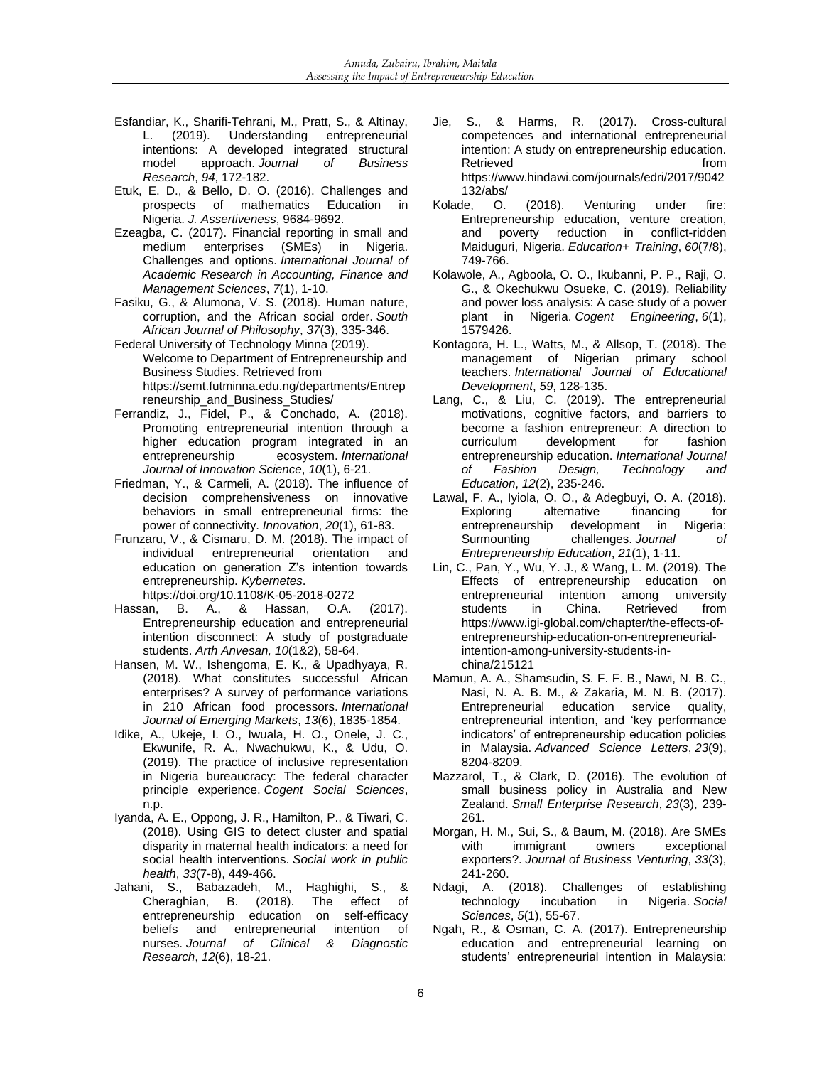- Esfandiar, K., Sharifi-Tehrani, M., Pratt, S., & Altinay, L. (2019). Understanding entrepreneurial intentions: A developed integrated structural model approach. *Journal of Business Research*, *94*, 172-182.
- Etuk, E. D., & Bello, D. O. (2016). Challenges and prospects of mathematics Education in Nigeria. *J. Assertiveness*, 9684-9692.
- Ezeagba, C. (2017). Financial reporting in small and<br>medium enterprises (SMEs) in Nigeria. (SMEs) in Nigeria. Challenges and options. *International Journal of Academic Research in Accounting, Finance and Management Sciences*, *7*(1), 1-10.
- Fasiku, G., & Alumona, V. S. (2018). Human nature, corruption, and the African social order. *South African Journal of Philosophy*, *37*(3), 335-346.
- Federal University of Technology Minna (2019). Welcome to Department of Entrepreneurship and Business Studies. Retrieved from [https://semt.futminna.edu.ng/departments/Entrep](https://semt.futminna.edu.ng/departments/Entrepreneurship_and_Business_Studies/) [reneurship\\_and\\_Business\\_Studies/](https://semt.futminna.edu.ng/departments/Entrepreneurship_and_Business_Studies/)
- Ferrandiz, J., Fidel, P., & Conchado, A. (2018). Promoting entrepreneurial intention through a higher education program integrated in an entrepreneurship ecosystem. International ecosystem. *International Journal of Innovation Science*, *10*(1), 6-21.
- Friedman, Y., & Carmeli, A. (2018). The influence of decision comprehensiveness on innovative behaviors in small entrepreneurial firms: the power of connectivity. *Innovation*, *20*(1), 61-83.
- Frunzaru, V., & Cismaru, D. M. (2018). The impact of individual entrepreneurial orientation and education on generation Z's intention towards entrepreneurship. *Kybernetes*. <https://doi.org/10.1108/K-05-2018-0272>
- Hassan, B. A., & Hassan, O.A. (2017). Entrepreneurship education and entrepreneurial intention disconnect: A study of postgraduate students. *Arth Anvesan, 10*(1&2), 58-64.
- Hansen, M. W., Ishengoma, E. K., & Upadhyaya, R. (2018). What constitutes successful African enterprises? A survey of performance variations in 210 African food processors. *International Journal of Emerging Markets*, *13*(6), 1835-1854.
- Idike, A., Ukeje, I. O., Iwuala, H. O., Onele, J. C., Ekwunife, R. A., Nwachukwu, K., & Udu, O. (2019). The practice of inclusive representation in Nigeria bureaucracy: The federal character principle experience. *Cogent Social Sciences*, n.p.
- Iyanda, A. E., Oppong, J. R., Hamilton, P., & Tiwari, C. (2018). Using GIS to detect cluster and spatial disparity in maternal health indicators: a need for social health interventions. *Social work in public health*, *33*(7-8), 449-466.
- Jahani, S., Babazadeh, M., Haghighi, S., & Cheraghian, B. (2018). The effect of entrepreneurship education on self-efficacy beliefs and entrepreneurial intention of nurses. *Journal of Clinical & Diagnostic Research*, *12*(6), 18-21.
- Jie, S., & Harms, R. (2017). Cross-cultural competences and international entrepreneurial intention: A study on entrepreneurship education. Retrieved **from** [https://www.hindawi.com/journals/edri/2017/9042](https://www.hindawi.com/journals/edri/2017/9042132/abs/) [132/abs/](https://www.hindawi.com/journals/edri/2017/9042132/abs/)
- Kolade, O. (2018). Venturing under fire: Entrepreneurship education, venture creation, and poverty reduction in conflict-ridden Maiduguri, Nigeria. *Education+ Training*, *60*(7/8), 749-766.
- Kolawole, A., Agboola, O. O., Ikubanni, P. P., Raji, O. G., & Okechukwu Osueke, C. (2019). Reliability and power loss analysis: A case study of a power plant in Nigeria. *Cogent Engineering*, *6*(1), 1579426.
- Kontagora, H. L., Watts, M., & Allsop, T. (2018). The management of Nigerian primary school teachers. *International Journal of Educational Development*, *59*, 128-135.
- Lang, C., & Liu, C. (2019). The entrepreneurial motivations, cognitive factors, and barriers to become a fashion entrepreneur: A direction to<br>curriculum development for fashion development entrepreneurship education. *International Journal of Fashion Design, Technology and Education*, *12*(2), 235-246.
- Lawal, F. A., Iyiola, O. O., & Adegbuyi, O. A. (2018). Exploring alternative financing for entrepreneurship development in Nigeria: Surmounting challenges. *Journal of Entrepreneurship Education*, *21*(1), 1-11.
- Lin, C., Pan, Y., Wu, Y. J., & Wang, L. M. (2019). The Effects of entrepreneurship education on entrepreneurial intention among university<br>students in China. Retrieved from **Retrieved** [https://www.igi-global.com/chapter/the-effects-of](https://www.igi-global.com/chapter/the-effects-of-entrepreneurship-education-on-entrepreneurial-intention-among-university-students-in-china/215121)[entrepreneurship-education-on-entrepreneurial](https://www.igi-global.com/chapter/the-effects-of-entrepreneurship-education-on-entrepreneurial-intention-among-university-students-in-china/215121)[intention-among-university-students-in](https://www.igi-global.com/chapter/the-effects-of-entrepreneurship-education-on-entrepreneurial-intention-among-university-students-in-china/215121)[china/215121](https://www.igi-global.com/chapter/the-effects-of-entrepreneurship-education-on-entrepreneurial-intention-among-university-students-in-china/215121)
- Mamun, A. A., Shamsudin, S. F. F. B., Nawi, N. B. C., Nasi, N. A. B. M., & Zakaria, M. N. B. (2017). Entrepreneurial education service quality, entrepreneurial intention, and 'key performance indicators' of entrepreneurship education policies in Malaysia. *Advanced Science Letters*, *23*(9), 8204-8209.
- Mazzarol, T., & Clark, D. (2016). The evolution of small business policy in Australia and New Zealand. *Small Enterprise Research*, *23*(3), 239- 261.
- Morgan, H. M., Sui, S., & Baum, M. (2018). Are SMEs with immigrant owners exceptional exporters?. *Journal of Business Venturing*, *33*(3), 241-260.
- Ndagi, A. (2018). Challenges of establishing technology incubation in Nigeria. *Social Sciences*, *5*(1), 55-67.
- Ngah, R., & Osman, C. A. (2017). Entrepreneurship education and entrepreneurial learning on students' entrepreneurial intention in Malaysia: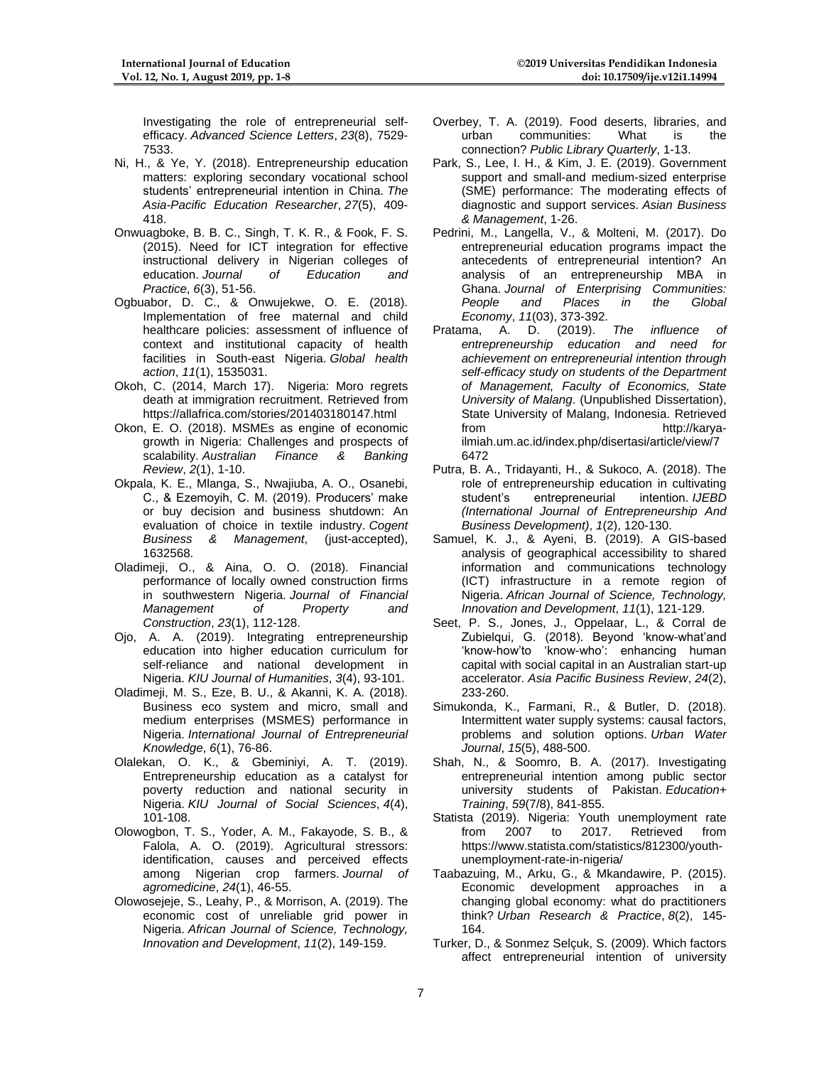Investigating the role of entrepreneurial selfefficacy. *Advanced Science Letters*, *23*(8), 7529- 7533.

- Ni, H., & Ye, Y. (2018). Entrepreneurship education matters: exploring secondary vocational school students' entrepreneurial intention in China. *The Asia-Pacific Education Researcher*, *27*(5), 409- 418.
- Onwuagboke, B. B. C., Singh, T. K. R., & Fook, F. S. (2015). Need for ICT integration for effective instructional delivery in Nigerian colleges of education. *Journal of Education and Practice*, *6*(3), 51-56.
- Ogbuabor, D. C., & Onwujekwe, O. E. (2018). Implementation of free maternal and child healthcare policies: assessment of influence of context and institutional capacity of health facilities in South-east Nigeria. *Global health action*, *11*(1), 1535031.
- Okoh, C. (2014, March 17). Nigeria: Moro regrets death at immigration recruitment. Retrieved from <https://allafrica.com/stories/201403180147.html>
- Okon, E. O. (2018). MSMEs as engine of economic growth in Nigeria: Challenges and prospects of scalability. *Australian Finance & Banking Review*, *2*(1), 1-10.
- Okpala, K. E., Mlanga, S., Nwajiuba, A. O., Osanebi, C., & Ezemoyih, C. M. (2019). Producers' make or buy decision and business shutdown: An evaluation of choice in textile industry. *Cogent Business & Management*, (just-accepted), 1632568.
- Oladimeji, O., & Aina, O. O. (2018). Financial performance of locally owned construction firms in southwestern Nigeria. *Journal of Financial Management Construction*, *23*(1), 112-128.
- Ojo, A. A. (2019). Integrating entrepreneurship education into higher education curriculum for self-reliance and national development in Nigeria. *KIU Journal of Humanities*, *3*(4), 93-101.
- Oladimeji, M. S., Eze, B. U., & Akanni, K. A. (2018). Business eco system and micro, small and medium enterprises (MSMES) performance in Nigeria. *International Journal of Entrepreneurial Knowledge*, *6*(1), 76-86.
- Olalekan, O. K., & Gbeminiyi, A. T. (2019). Entrepreneurship education as a catalyst for poverty reduction and national security in Nigeria. *KIU Journal of Social Sciences*, *4*(4), 101-108.
- Olowogbon, T. S., Yoder, A. M., Fakayode, S. B., & Falola, A. O. (2019). Agricultural stressors: identification, causes and perceived effects among Nigerian crop farmers. *Journal of agromedicine*, *24*(1), 46-55.
- Olowosejeje, S., Leahy, P., & Morrison, A. (2019). The economic cost of unreliable grid power in Nigeria. *African Journal of Science, Technology, Innovation and Development*, *11*(2), 149-159.
- Overbey, T. A. (2019). Food deserts, libraries, and communities: What is connection? *Public Library Quarterly*, 1-13.
- Park, S., Lee, I. H., & Kim, J. E. (2019). Government support and small-and medium-sized enterprise (SME) performance: The moderating effects of diagnostic and support services. *Asian Business & Management*, 1-26.
- Pedrini, M., Langella, V., & Molteni, M. (2017). Do entrepreneurial education programs impact the antecedents of entrepreneurial intention? An analysis of an entrepreneurship MBA in Ghana. *Journal of Enterprising Communities: People and Places in the Global Economy*, *11*(03), 373-392.
- Pratama, A. D. (2019). *The influence of entrepreneurship education and need for achievement on entrepreneurial intention through self-efficacy study on students of the Department of Management, Faculty of Economics, State University of Malang*. (Unpublished Dissertation), State University of Malang, Indonesia. Retrieved from [http://karya](http://karya-ilmiah.um.ac.id/index.php/disertasi/article/view/76472)[ilmiah.um.ac.id/index.php/disertasi/article/view/7](http://karya-ilmiah.um.ac.id/index.php/disertasi/article/view/76472) [6472](http://karya-ilmiah.um.ac.id/index.php/disertasi/article/view/76472)
- Putra, B. A., Tridayanti, H., & Sukoco, A. (2018). The role of entrepreneurship education in cultivating<br>student's entrepreneurial intention. IJEBD student's entrepreneurial intention. *IJEBD (International Journal of Entrepreneurship And Business Development)*, *1*(2), 120-130.
- Samuel, K. J., & Ayeni, B. (2019). A GIS-based analysis of geographical accessibility to shared information and communications technology (ICT) infrastructure in a remote region of Nigeria. *African Journal of Science, Technology, Innovation and Development*, *11*(1), 121-129.
- Seet, P. S., Jones, J., Oppelaar, L., & Corral de Zubielqui, G. (2018). Beyond 'know-what'and 'know-how'to 'know-who': enhancing human capital with social capital in an Australian start-up accelerator. *Asia Pacific Business Review*, *24*(2), 233-260.
- Simukonda, K., Farmani, R., & Butler, D. (2018). Intermittent water supply systems: causal factors, problems and solution options. *Urban Water Journal*, *15*(5), 488-500.
- Shah, N., & Soomro, B. A. (2017). Investigating entrepreneurial intention among public sector university students of Pakistan. *Education+ Training*, *59*(7/8), 841-855.
- Statista (2019). Nigeria: Youth unemployment rate from 2007 to 2017. Retrieved from [https://www.statista.com/statistics/812300/youth](https://www.statista.com/statistics/812300/youth-unemployment-rate-in-nigeria/)[unemployment-rate-in-nigeria/](https://www.statista.com/statistics/812300/youth-unemployment-rate-in-nigeria/)
- Taabazuing, M., Arku, G., & Mkandawire, P. (2015). Economic development approaches in a changing global economy: what do practitioners think? *Urban Research & Practice*, *8*(2), 145- 164.
- Turker, D., & Sonmez Selçuk, S. (2009). Which factors affect entrepreneurial intention of university